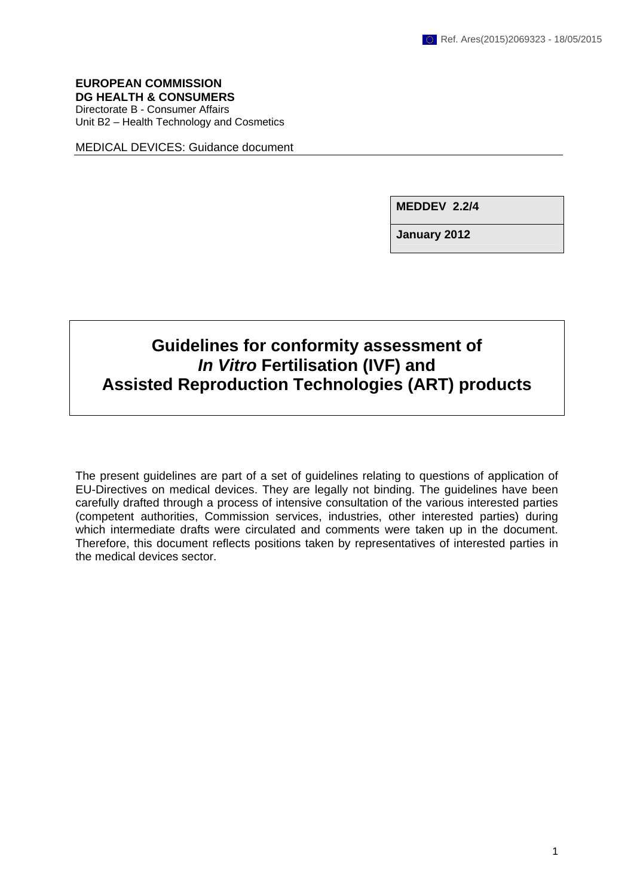# **EUROPEAN COMMISSION DG HEALTH & CONSUMERS**

Directorate B - Consumer Affairs Unit B2 – Health Technology and Cosmetics

MEDICAL DEVICES: Guidance document

**MEDDEV 2.2/4** 

**January 2012** 

# **Guidelines for conformity assessment of**  *In Vitro* **Fertilisation (IVF) and Assisted Reproduction Technologies (ART) products**

The present guidelines are part of a set of guidelines relating to questions of application of EU-Directives on medical devices. They are legally not binding. The guidelines have been carefully drafted through a process of intensive consultation of the various interested parties (competent authorities, Commission services, industries, other interested parties) during which intermediate drafts were circulated and comments were taken up in the document. Therefore, this document reflects positions taken by representatives of interested parties in the medical devices sector.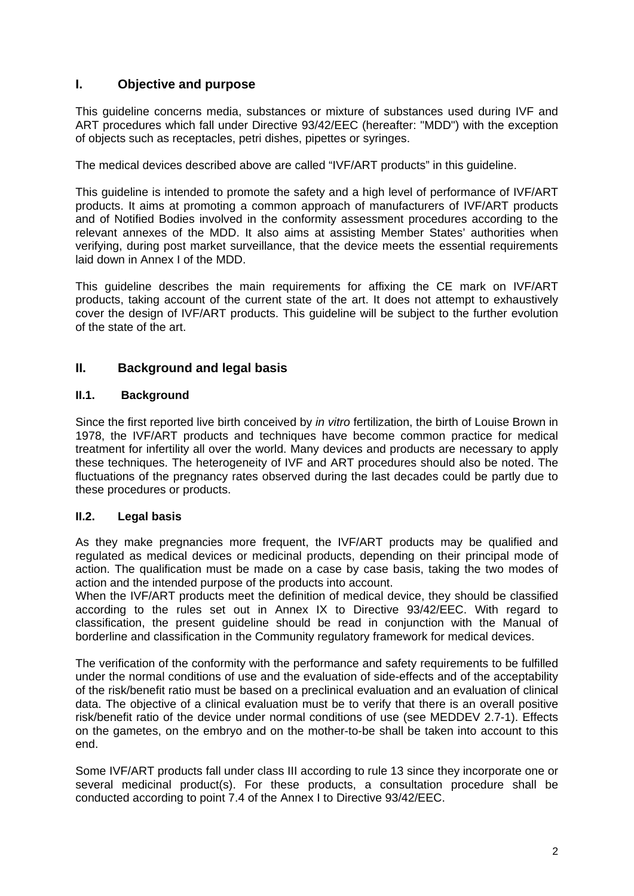# **I. Objective and purpose**

This guideline concerns media, substances or mixture of substances used during IVF and ART procedures which fall under Directive 93/42/EEC (hereafter: "MDD") with the exception of objects such as receptacles, petri dishes, pipettes or syringes.

The medical devices described above are called "IVF/ART products" in this guideline.

This guideline is intended to promote the safety and a high level of performance of IVF/ART products. It aims at promoting a common approach of manufacturers of IVF/ART products and of Notified Bodies involved in the conformity assessment procedures according to the relevant annexes of the MDD. It also aims at assisting Member States' authorities when verifying, during post market surveillance, that the device meets the essential requirements laid down in Annex I of the MDD.

This guideline describes the main requirements for affixing the CE mark on IVF/ART products, taking account of the current state of the art. It does not attempt to exhaustively cover the design of IVF/ART products. This guideline will be subject to the further evolution of the state of the art.

# **II. Background and legal basis**

## **II.1. Background**

Since the first reported live birth conceived by *in vitro* fertilization, the birth of Louise Brown in 1978, the IVF/ART products and techniques have become common practice for medical treatment for infertility all over the world. Many devices and products are necessary to apply these techniques. The heterogeneity of IVF and ART procedures should also be noted. The fluctuations of the pregnancy rates observed during the last decades could be partly due to these procedures or products.

## **II.2. Legal basis**

As they make pregnancies more frequent, the IVF/ART products may be qualified and regulated as medical devices or medicinal products, depending on their principal mode of action. The qualification must be made on a case by case basis, taking the two modes of action and the intended purpose of the products into account.

When the IVF/ART products meet the definition of medical device, they should be classified according to the rules set out in Annex IX to Directive 93/42/EEC. With regard to classification, the present guideline should be read in conjunction with the Manual of borderline and classification in the Community regulatory framework for medical devices.

The verification of the conformity with the performance and safety requirements to be fulfilled under the normal conditions of use and the evaluation of side-effects and of the acceptability of the risk/benefit ratio must be based on a preclinical evaluation and an evaluation of clinical data. The objective of a clinical evaluation must be to verify that there is an overall positive risk/benefit ratio of the device under normal conditions of use (see MEDDEV 2.7-1). Effects on the gametes, on the embryo and on the mother-to-be shall be taken into account to this end.

Some IVF/ART products fall under class III according to rule 13 since they incorporate one or several medicinal product(s). For these products, a consultation procedure shall be conducted according to point 7.4 of the Annex I to Directive 93/42/EEC.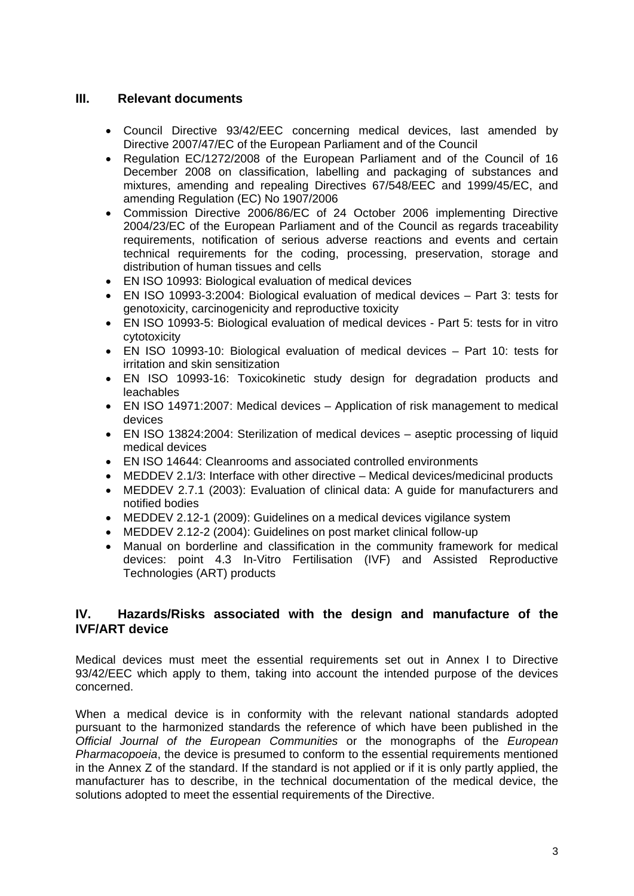## **III. Relevant documents**

- Council Directive 93/42/EEC concerning medical devices, last amended by Directive 2007/47/EC of the European Parliament and of the Council
- Regulation EC/1272/2008 of the European Parliament and of the Council of 16 December 2008 on classification, labelling and packaging of substances and mixtures, amending and repealing Directives 67/548/EEC and 1999/45/EC, and amending Regulation (EC) No 1907/2006
- Commission Directive 2006/86/EC of 24 October 2006 implementing Directive 2004/23/EC of the European Parliament and of the Council as regards traceability requirements, notification of serious adverse reactions and events and certain technical requirements for the coding, processing, preservation, storage and distribution of human tissues and cells
- EN ISO 10993: Biological evaluation of medical devices
- EN ISO 10993-3:2004: Biological evaluation of medical devices Part 3: tests for genotoxicity, carcinogenicity and reproductive toxicity
- EN ISO 10993-5: Biological evaluation of medical devices Part 5: tests for in vitro cytotoxicity
- EN ISO 10993-10: Biological evaluation of medical devices Part 10: tests for irritation and skin sensitization
- EN ISO 10993-16: Toxicokinetic study design for degradation products and leachables
- EN ISO 14971:2007: Medical devices Application of risk management to medical devices
- EN ISO 13824:2004: Sterilization of medical devices aseptic processing of liquid medical devices
- EN ISO 14644: Cleanrooms and associated controlled environments
- MEDDEV 2.1/3: Interface with other directive Medical devices/medicinal products
- MEDDEV 2.7.1 (2003): Evaluation of clinical data: A guide for manufacturers and notified bodies
- MEDDEV 2.12-1 (2009): Guidelines on a medical devices vigilance system
- MEDDEV 2.12-2 (2004): Guidelines on post market clinical follow-up
- Manual on borderline and classification in the community framework for medical devices: point 4.3 In-Vitro Fertilisation (IVF) and Assisted Reproductive Technologies (ART) products

#### **IV. Hazards/Risks associated with the design and manufacture of the IVF/ART device**

Medical devices must meet the essential requirements set out in Annex I to Directive 93/42/EEC which apply to them, taking into account the intended purpose of the devices concerned.

When a medical device is in conformity with the relevant national standards adopted pursuant to the harmonized standards the reference of which have been published in the *Official Journal of the European Communities* or the monographs of the *European Pharmacopoeia*, the device is presumed to conform to the essential requirements mentioned in the Annex Z of the standard. If the standard is not applied or if it is only partly applied, the manufacturer has to describe, in the technical documentation of the medical device, the solutions adopted to meet the essential requirements of the Directive.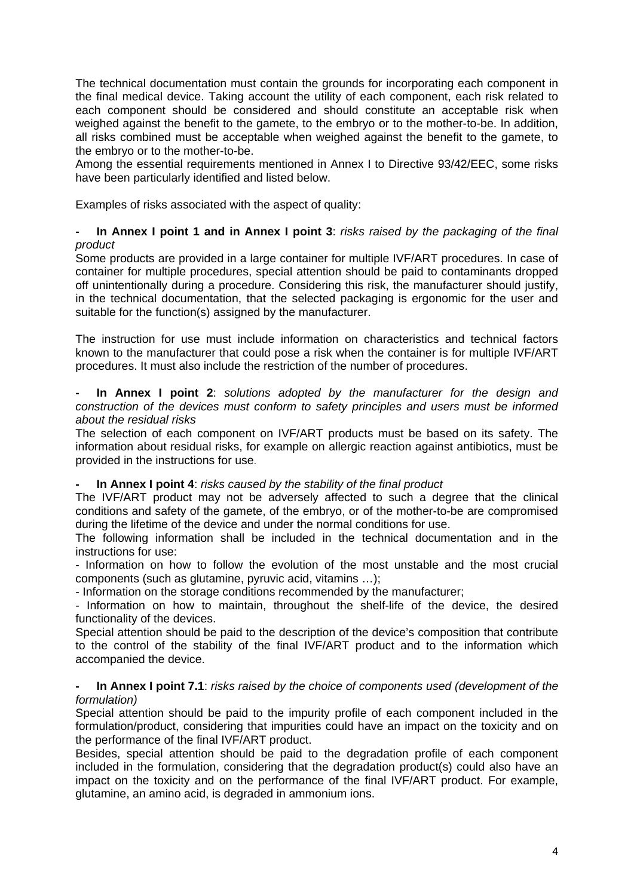The technical documentation must contain the grounds for incorporating each component in the final medical device. Taking account the utility of each component, each risk related to each component should be considered and should constitute an acceptable risk when weighed against the benefit to the gamete, to the embryo or to the mother-to-be. In addition, all risks combined must be acceptable when weighed against the benefit to the gamete, to the embryo or to the mother-to-be.

Among the essential requirements mentioned in Annex I to Directive 93/42/EEC, some risks have been particularly identified and listed below.

Examples of risks associated with the aspect of quality:

#### **- In Annex I point 1 and in Annex I point 3**: *risks raised by the packaging of the final product*

Some products are provided in a large container for multiple IVF/ART procedures. In case of container for multiple procedures, special attention should be paid to contaminants dropped off unintentionally during a procedure. Considering this risk, the manufacturer should justify, in the technical documentation, that the selected packaging is ergonomic for the user and suitable for the function(s) assigned by the manufacturer.

The instruction for use must include information on characteristics and technical factors known to the manufacturer that could pose a risk when the container is for multiple IVF/ART procedures. It must also include the restriction of the number of procedures.

**- In Annex I point 2**: *solutions adopted by the manufacturer for the design and construction of the devices must conform to safety principles and users must be informed about the residual risks*

The selection of each component on IVF/ART products must be based on its safety. The information about residual risks, for example on allergic reaction against antibiotics, must be provided in the instructions for use.

#### **- In Annex I point 4**: *risks caused by the stability of the final product*

The IVF/ART product may not be adversely affected to such a degree that the clinical conditions and safety of the gamete, of the embryo, or of the mother-to-be are compromised during the lifetime of the device and under the normal conditions for use.

The following information shall be included in the technical documentation and in the instructions for use:

- Information on how to follow the evolution of the most unstable and the most crucial components (such as glutamine, pyruvic acid, vitamins …);

- Information on the storage conditions recommended by the manufacturer;

- Information on how to maintain, throughout the shelf-life of the device, the desired functionality of the devices.

Special attention should be paid to the description of the device's composition that contribute to the control of the stability of the final IVF/ART product and to the information which accompanied the device.

#### **- In Annex I point 7.1**: *risks raised by the choice of components used (development of the formulation)*

Special attention should be paid to the impurity profile of each component included in the formulation/product, considering that impurities could have an impact on the toxicity and on the performance of the final IVF/ART product.

Besides, special attention should be paid to the degradation profile of each component included in the formulation, considering that the degradation product(s) could also have an impact on the toxicity and on the performance of the final IVF/ART product. For example, glutamine, an amino acid, is degraded in ammonium ions.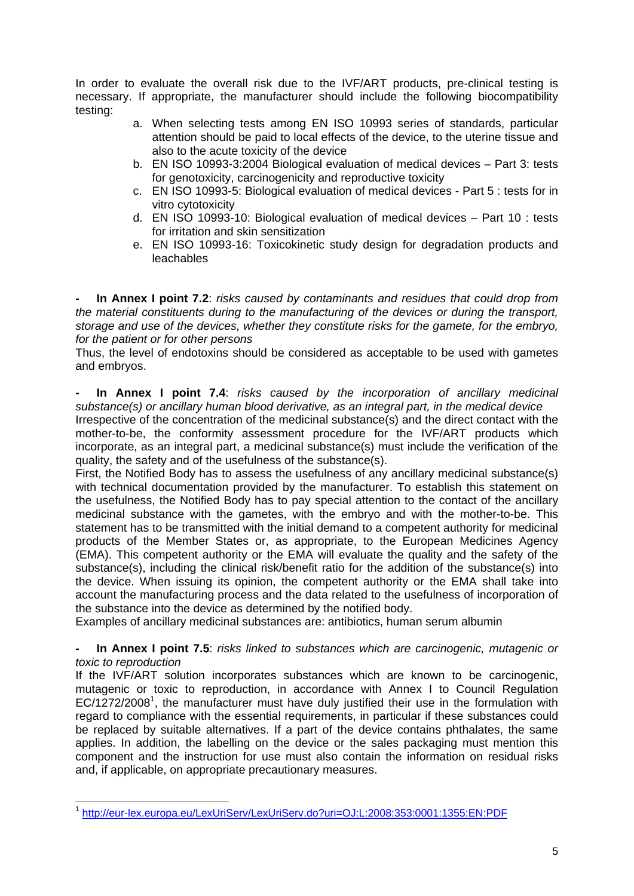In order to evaluate the overall risk due to the IVF/ART products, pre-clinical testing is necessary. If appropriate, the manufacturer should include the following biocompatibility testing:

- a. When selecting tests among EN ISO 10993 series of standards, particular attention should be paid to local effects of the device, to the uterine tissue and also to the acute toxicity of the device
- b. EN ISO 10993-3:2004 Biological evaluation of medical devices Part 3: tests for genotoxicity, carcinogenicity and reproductive toxicity
- c. EN ISO 10993-5: Biological evaluation of medical devices Part 5 : tests for in vitro cytotoxicity
- d. EN ISO 10993-10: Biological evaluation of medical devices Part 10 : tests for irritation and skin sensitization
- e. EN ISO 10993-16: Toxicokinetic study design for degradation products and leachables

**- In Annex I point 7.2**: *risks caused by contaminants and residues that could drop from the material constituents during to the manufacturing of the devices or during the transport, storage and use of the devices, whether they constitute risks for the gamete, for the embryo, for the patient or for other persons*

Thus, the level of endotoxins should be considered as acceptable to be used with gametes and embryos.

**- In Annex I point 7.4**: *risks caused by the incorporation of ancillary medicinal substance(s) or ancillary human blood derivative, as an integral part, in the medical device*  Irrespective of the concentration of the medicinal substance(s) and the direct contact with the mother-to-be, the conformity assessment procedure for the IVF/ART products which incorporate, as an integral part, a medicinal substance(s) must include the verification of the quality, the safety and of the usefulness of the substance(s).

First, the Notified Body has to assess the usefulness of any ancillary medicinal substance(s) with technical documentation provided by the manufacturer. To establish this statement on the usefulness, the Notified Body has to pay special attention to the contact of the ancillary medicinal substance with the gametes, with the embryo and with the mother-to-be. This statement has to be transmitted with the initial demand to a competent authority for medicinal products of the Member States or, as appropriate, to the European Medicines Agency (EMA). This competent authority or the EMA will evaluate the quality and the safety of the substance(s), including the clinical risk/benefit ratio for the addition of the substance(s) into the device. When issuing its opinion, the competent authority or the EMA shall take into account the manufacturing process and the data related to the usefulness of incorporation of the substance into the device as determined by the notified body.

Examples of ancillary medicinal substances are: antibiotics, human serum albumin

**- In Annex I point 7.5**: *risks linked to substances which are carcinogenic, mutagenic or toxic to reproduction* 

If the IVF/ART solution incorporates substances which are known to be carcinogenic, mutagenic or toxic to reproduction, in accordance with Annex I to Council Regulation  $EC/1272/2008<sup>1</sup>$ , the manufacturer must have duly justified their use in the formulation with regard to compliance with the essential requirements, in particular if these substances could be replaced by suitable alternatives. If a part of the device contains phthalates, the same applies. In addition, the labelling on the device or the sales packaging must mention this component and the instruction for use must also contain the information on residual risks and, if applicable, on appropriate precautionary measures.

<sup>-</sup><sup>1</sup> <http://eur-lex.europa.eu/LexUriServ/LexUriServ.do?uri=OJ:L:2008:353:0001:1355:EN:PDF>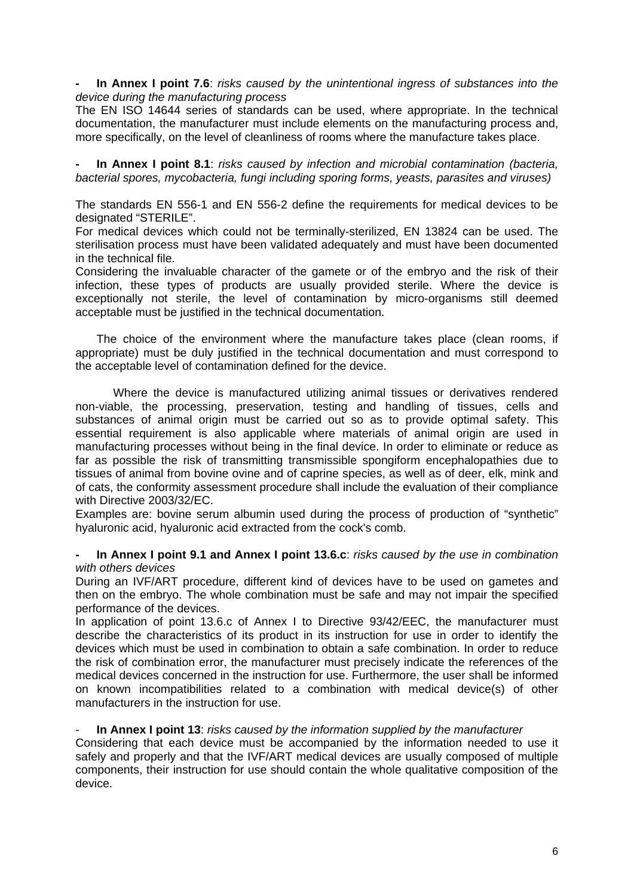**- In Annex I point 7.6**: *risks caused by the unintentional ingress of substances into the device during the manufacturing process* 

The EN ISO 14644 series of standards can be used, where appropriate. In the technical documentation, the manufacturer must include elements on the manufacturing process and, more specifically, on the level of cleanliness of rooms where the manufacture takes place.

**- In Annex I point 8.1**: *risks caused by infection and microbial contamination (bacteria, bacterial spores, mycobacteria, fungi including sporing forms, yeasts, parasites and viruses)* 

The standards EN 556-1 and EN 556-2 define the requirements for medical devices to be designated "STERILE".

For medical devices which could not be terminally-sterilized, EN 13824 can be used. The sterilisation process must have been validated adequately and must have been documented in the technical file.

Considering the invaluable character of the gamete or of the embryo and the risk of their infection, these types of products are usually provided sterile. Where the device is exceptionally not sterile, the level of contamination by micro-organisms still deemed acceptable must be justified in the technical documentation.

 The choice of the environment where the manufacture takes place (clean rooms, if appropriate) must be duly justified in the technical documentation and must correspond to the acceptable level of contamination defined for the device.

Where the device is manufactured utilizing animal tissues or derivatives rendered non-viable, the processing, preservation, testing and handling of tissues, cells and substances of animal origin must be carried out so as to provide optimal safety. This essential requirement is also applicable where materials of animal origin are used in manufacturing processes without being in the final device. In order to eliminate or reduce as far as possible the risk of transmitting transmissible spongiform encephalopathies due to tissues of animal from bovine ovine and of caprine species, as well as of deer, elk, mink and of cats, the conformity assessment procedure shall include the evaluation of their compliance with Directive 2003/32/EC.

Examples are: bovine serum albumin used during the process of production of "synthetic" hyaluronic acid, hyaluronic acid extracted from the cock's comb.

#### **- In Annex I point 9.1 and Annex I point 13.6.c**: *risks caused by the use in combination with others devices*

During an IVF/ART procedure, different kind of devices have to be used on gametes and then on the embryo. The whole combination must be safe and may not impair the specified performance of the devices.

In application of point 13.6.c of Annex I to Directive 93/42/EEC, the manufacturer must describe the characteristics of its product in its instruction for use in order to identify the devices which must be used in combination to obtain a safe combination. In order to reduce the risk of combination error, the manufacturer must precisely indicate the references of the medical devices concerned in the instruction for use. Furthermore, the user shall be informed on known incompatibilities related to a combination with medical device(s) of other manufacturers in the instruction for use.

#### - **In Annex I point 13**: *risks caused by the information supplied by the manufacturer*

Considering that each device must be accompanied by the information needed to use it safely and properly and that the IVF/ART medical devices are usually composed of multiple components, their instruction for use should contain the whole qualitative composition of the device.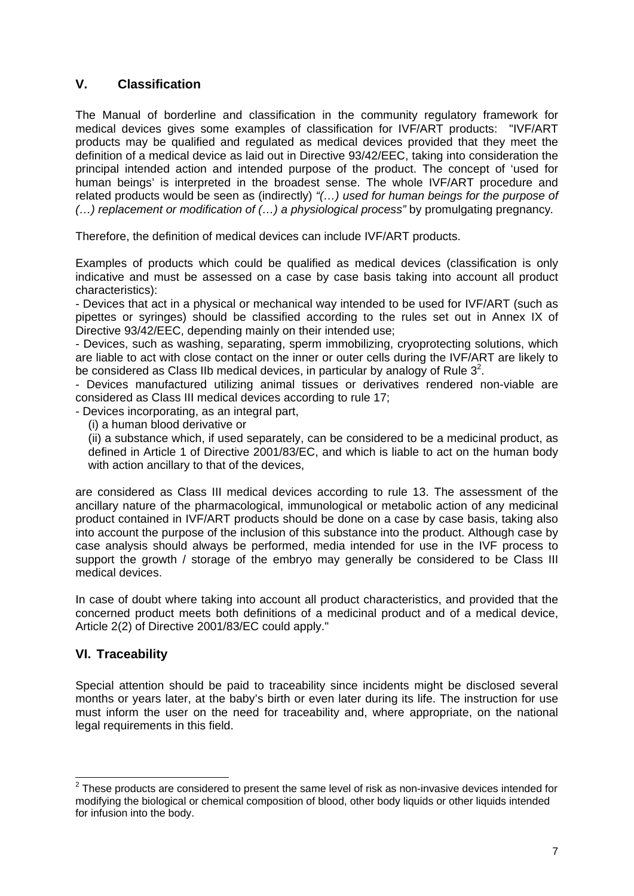# **V. Classification**

The Manual of borderline and classification in the community regulatory framework for medical devices gives some examples of classification for IVF/ART products: "IVF/ART products may be qualified and regulated as medical devices provided that they meet the definition of a medical device as laid out in Directive 93/42/EEC, taking into consideration the principal intended action and intended purpose of the product. The concept of 'used for human beings' is interpreted in the broadest sense. The whole IVF/ART procedure and related products would be seen as (indirectly) *"(…) used for human beings for the purpose of (…) replacement or modification of (…) a physiological process"* by promulgating pregnancy*.* 

Therefore, the definition of medical devices can include IVF/ART products.

Examples of products which could be qualified as medical devices (classification is only indicative and must be assessed on a case by case basis taking into account all product characteristics):

- Devices that act in a physical or mechanical way intended to be used for IVF/ART (such as pipettes or syringes) should be classified according to the rules set out in Annex IX of Directive 93/42/EEC, depending mainly on their intended use;

- Devices, such as washing, separating, sperm immobilizing, cryoprotecting solutions, which are liable to act with close contact on the inner or outer cells during the IVF/ART are likely to be considered as Class IIb medical devices, in particular by analogy of Rule  $3<sup>2</sup>$ .

- Devices manufactured utilizing animal tissues or derivatives rendered non-viable are considered as Class III medical devices according to rule 17;

- Devices incorporating, as an integral part,

(i) a human blood derivative or

(ii) a substance which, if used separately, can be considered to be a medicinal product, as defined in Article 1 of Directive 2001/83/EC, and which is liable to act on the human body with action ancillary to that of the devices,

are considered as Class III medical devices according to rule 13. The assessment of the ancillary nature of the pharmacological, immunological or metabolic action of any medicinal product contained in IVF/ART products should be done on a case by case basis, taking also into account the purpose of the inclusion of this substance into the product. Although case by case analysis should always be performed, media intended for use in the IVF process to support the growth / storage of the embryo may generally be considered to be Class III medical devices.

In case of doubt where taking into account all product characteristics, and provided that the concerned product meets both definitions of a medicinal product and of a medical device, Article 2(2) of Directive 2001/83/EC could apply."

## **VI. Traceability**

Special attention should be paid to traceability since incidents might be disclosed several months or years later, at the baby's birth or even later during its life. The instruction for use must inform the user on the need for traceability and, where appropriate, on the national legal requirements in this field.

 2 These products are considered to present the same level of risk as non-invasive devices intended for modifying the biological or chemical composition of blood, other body liquids or other liquids intended for infusion into the body.